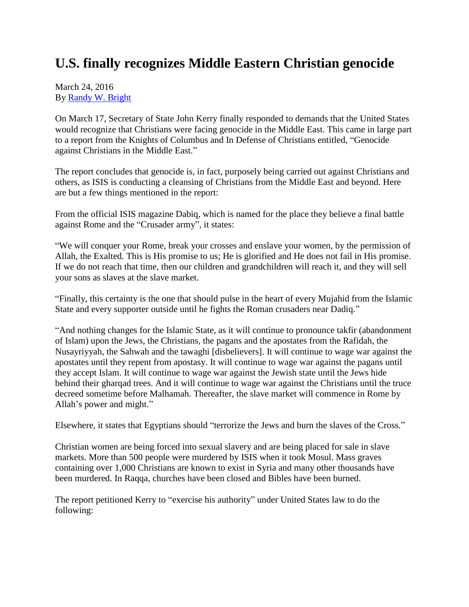## **U.S. finally recognizes Middle Eastern Christian genocide**

March 24, 2016 By [Randy W. Bright](http://www.tulsabeacon.com/author/slug-o6yd1v)

On March 17, Secretary of State John Kerry finally responded to demands that the United States would recognize that Christians were facing genocide in the Middle East. This came in large part to a report from the Knights of Columbus and In Defense of Christians entitled, "Genocide against Christians in the Middle East."

The report concludes that genocide is, in fact, purposely being carried out against Christians and others, as ISIS is conducting a cleansing of Christians from the Middle East and beyond. Here are but a few things mentioned in the report:

From the official ISIS magazine Dabiq, which is named for the place they believe a final battle against Rome and the "Crusader army", it states:

"We will conquer your Rome, break your crosses and enslave your women, by the permission of Allah, the Exalted. This is His promise to us; He is glorified and He does not fail in His promise. If we do not reach that time, then our children and grandchildren will reach it, and they will sell your sons as slaves at the slave market.

"Finally, this certainty is the one that should pulse in the heart of every Mujahid from the Islamic State and every supporter outside until he fights the Roman crusaders near Dadiq."

"And nothing changes for the Islamic State, as it will continue to pronounce takfir (abandonment of Islam) upon the Jews, the Christians, the pagans and the apostates from the Rafidah, the Nusayriyyah, the Sahwah and the tawaghi [disbelievers]. It will continue to wage war against the apostates until they repent from apostasy. It will continue to wage war against the pagans until they accept Islam. It will continue to wage war against the Jewish state until the Jews hide behind their gharqad trees. And it will continue to wage war against the Christians until the truce decreed sometime before Malhamah. Thereafter, the slave market will commence in Rome by Allah"s power and might."

Elsewhere, it states that Egyptians should "terrorize the Jews and burn the slaves of the Cross."

Christian women are being forced into sexual slavery and are being placed for sale in slave markets. More than 500 people were murdered by ISIS when it took Mosul. Mass graves containing over 1,000 Christians are known to exist in Syria and many other thousands have been murdered. In Raqqa, churches have been closed and Bibles have been burned.

The report petitioned Kerry to "exercise his authority" under United States law to do the following: